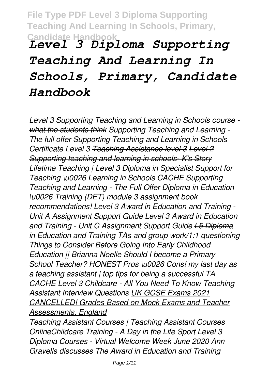**File Type PDF Level 3 Diploma Supporting Teaching And Learning In Schools, Primary, Candidate Handbook** *Level 3 Diploma Supporting*

# *Teaching And Learning In Schools, Primary, Candidate Handbook*

*Level 3 Supporting Teaching and Learning in Schools course what the students think Supporting Teaching and Learning - The full offer Supporting Teaching and Learning in Schools Certificate Level 3 Teaching Assistance level 3 Level 2 Supporting teaching and learning in schools- K's Story Lifetime Teaching | Level 3 Diploma in Specialist Support for Teaching \u0026 Learning in Schools CACHE Supporting Teaching and Learning - The Full Offer Diploma in Education \u0026 Training (DET) module 3 assignment book recommendations! Level 3 Award in Education and Training - Unit A Assignment Support Guide Level 3 Award in Education and Training - Unit C Assignment Support Guide L5 Diploma in Education and Training TAs and group work/1:1 questioning Things to Consider Before Going Into Early Childhood Education || Brianna Noelle Should I become a Primary School Teacher? HONEST Pros \u0026 Cons! my last day as a teaching assistant | top tips for being a successful TA CACHE Level 3 Childcare - All You Need To Know Teaching Assistant Interview Questions UK GCSE Exams 2021 CANCELLED! Grades Based on Mock Exams and Teacher Assessments, England*

*Teaching Assistant Courses | Teaching Assistant Courses OnlineChildcare Training - A Day in the Life Sport Level 3 Diploma Courses - Virtual Welcome Week June 2020 Ann Gravells discusses The Award in Education and Training*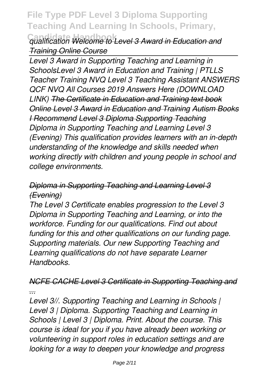### **Candidate Handbook** *qualification Welcome to Level 3 Award in Education and Training Online Course*

*Level 3 Award in Supporting Teaching and Learning in SchoolsLevel 3 Award in Education and Training | PTLLS Teacher Training NVQ Level 3 Teaching Assistant ANSWERS QCF NVQ All Courses 2019 Answers Here (DOWNLOAD LINK) The Certificate in Education and Training text book Online Level 3 Award in Education and Training Autism Books I Recommend Level 3 Diploma Supporting Teaching Diploma in Supporting Teaching and Learning Level 3 (Evening) This qualification provides learners with an in-depth understanding of the knowledge and skills needed when working directly with children and young people in school and college environments.*

### *Diploma in Supporting Teaching and Learning Level 3 (Evening)*

*The Level 3 Certificate enables progression to the Level 3 Diploma in Supporting Teaching and Learning, or into the workforce. Funding for our qualifications. Find out about funding for this and other qualifications on our funding page. Supporting materials. Our new Supporting Teaching and Learning qualifications do not have separate Learner Handbooks.*

#### *NCFE CACHE Level 3 Certificate in Supporting Teaching and ...*

*Level 3//. Supporting Teaching and Learning in Schools | Level 3 | Diploma. Supporting Teaching and Learning in Schools | Level 3 | Diploma. Print. About the course. This course is ideal for you if you have already been working or volunteering in support roles in education settings and are looking for a way to deepen your knowledge and progress*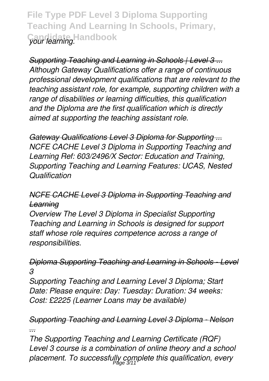**File Type PDF Level 3 Diploma Supporting Teaching And Learning In Schools, Primary, Candidate Handbook** *your learning.*

*Supporting Teaching and Learning in Schools | Level 3 ... Although Gateway Qualifications offer a range of continuous professional development qualifications that are relevant to the teaching assistant role, for example, supporting children with a range of disabilities or learning difficulties, this qualification and the Diploma are the first qualification which is directly aimed at supporting the teaching assistant role.*

*Gateway Qualifications Level 3 Diploma for Supporting ... NCFE CACHE Level 3 Diploma in Supporting Teaching and Learning Ref: 603/2496/X Sector: Education and Training, Supporting Teaching and Learning Features: UCAS, Nested Qualification*

### *NCFE CACHE Level 3 Diploma in Supporting Teaching and Learning*

*Overview The Level 3 Diploma in Specialist Supporting Teaching and Learning in Schools is designed for support staff whose role requires competence across a range of responsibilities.*

### *Diploma Supporting Teaching and Learning in Schools - Level 3*

*Supporting Teaching and Learning Level 3 Diploma; Start Date: Please enquire: Day: Tuesday: Duration: 34 weeks: Cost: £2225 (Learner Loans may be available)*

### *Supporting Teaching and Learning Level 3 Diploma - Nelson ...*

*The Supporting Teaching and Learning Certificate (RQF) Level 3 course is a combination of online theory and a school placement. To successfully complete this qualification, every* Page 3/11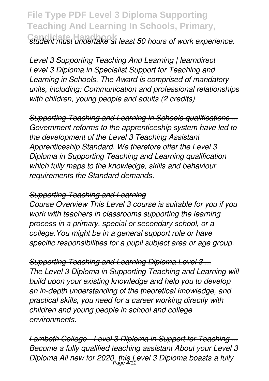**Candidate Handbook** *student must undertake at least 50 hours of work experience.*

*Level 3 Supporting Teaching And Learning | learndirect Level 3 Diploma in Specialist Support for Teaching and Learning in Schools. The Award is comprised of mandatory units, including: Communication and professional relationships with children, young people and adults (2 credits)*

*Supporting Teaching and Learning in Schools qualifications ... Government reforms to the apprenticeship system have led to the development of the Level 3 Teaching Assistant Apprenticeship Standard. We therefore offer the Level 3 Diploma in Supporting Teaching and Learning qualification which fully maps to the knowledge, skills and behaviour requirements the Standard demands.*

#### *Supporting Teaching and Learning*

*Course Overview This Level 3 course is suitable for you if you work with teachers in classrooms supporting the learning process in a primary, special or secondary school, or a college.You might be in a general support role or have specific responsibilities for a pupil subject area or age group.*

*Supporting Teaching and Learning Diploma Level 3 ... The Level 3 Diploma in Supporting Teaching and Learning will build upon your existing knowledge and help you to develop an in-depth understanding of the theoretical knowledge, and practical skills, you need for a career working directly with children and young people in school and college environments.*

*Lambeth College - Level 3 Diploma in Support for Teaching ... Become a fully qualified teaching assistant About your Level 3 Diploma All new for 2020, this Level 3 Diploma boasts a fully* Page 4/11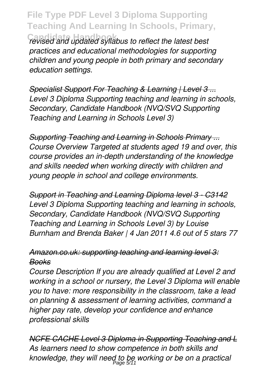**Candidate Handbook** *revised and updated syllabus to reflect the latest best practices and educational methodologies for supporting children and young people in both primary and secondary education settings.*

*Specialist Support For Teaching & Learning | Level 3 ... Level 3 Diploma Supporting teaching and learning in schools, Secondary, Candidate Handbook (NVQ/SVQ Supporting Teaching and Learning in Schools Level 3)*

*Supporting Teaching and Learning in Schools Primary ... Course Overview Targeted at students aged 19 and over, this course provides an in-depth understanding of the knowledge and skills needed when working directly with children and young people in school and college environments.*

*Support in Teaching and Learning Diploma level 3 - C3142 Level 3 Diploma Supporting teaching and learning in schools, Secondary, Candidate Handbook (NVQ/SVQ Supporting Teaching and Learning in Schools Level 3) by Louise Burnham and Brenda Baker | 4 Jan 2011 4.6 out of 5 stars 77*

### *Amazon.co.uk: supporting teaching and learning level 3: Books*

*Course Description If you are already qualified at Level 2 and working in a school or nursery, the Level 3 Diploma will enable you to have: more responsibility in the classroom, take a lead on planning & assessment of learning activities, command a higher pay rate, develop your confidence and enhance professional skills*

*NCFE CACHE Level 3 Diploma in Supporting Teaching and L As learners need to show competence in both skills and knowledge, they will need to be working or be on a practical* Page 5/11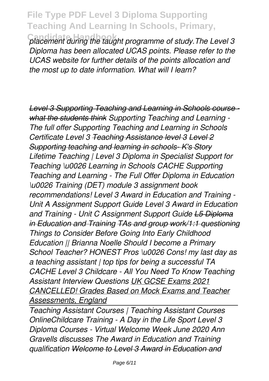**Candidate Handbook** *placement during the taught programme of study.The Level 3 Diploma has been allocated UCAS points. Please refer to the UCAS website for further details of the points allocation and the most up to date information. What will I learn?*

*Level 3 Supporting Teaching and Learning in Schools course what the students think Supporting Teaching and Learning - The full offer Supporting Teaching and Learning in Schools Certificate Level 3 Teaching Assistance level 3 Level 2 Supporting teaching and learning in schools- K's Story Lifetime Teaching | Level 3 Diploma in Specialist Support for Teaching \u0026 Learning in Schools CACHE Supporting Teaching and Learning - The Full Offer Diploma in Education \u0026 Training (DET) module 3 assignment book recommendations! Level 3 Award in Education and Training - Unit A Assignment Support Guide Level 3 Award in Education and Training - Unit C Assignment Support Guide L5 Diploma in Education and Training TAs and group work/1:1 questioning Things to Consider Before Going Into Early Childhood Education || Brianna Noelle Should I become a Primary School Teacher? HONEST Pros \u0026 Cons! my last day as a teaching assistant | top tips for being a successful TA CACHE Level 3 Childcare - All You Need To Know Teaching Assistant Interview Questions UK GCSE Exams 2021 CANCELLED! Grades Based on Mock Exams and Teacher Assessments, England*

*Teaching Assistant Courses | Teaching Assistant Courses OnlineChildcare Training - A Day in the Life Sport Level 3 Diploma Courses - Virtual Welcome Week June 2020 Ann Gravells discusses The Award in Education and Training qualification Welcome to Level 3 Award in Education and*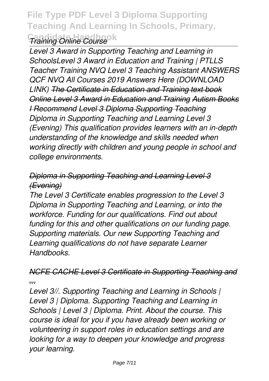# **File Type PDF Level 3 Diploma Supporting Teaching And Learning In Schools, Primary, Candidate Handbook** *Training Online Course*

*Level 3 Award in Supporting Teaching and Learning in SchoolsLevel 3 Award in Education and Training | PTLLS Teacher Training NVQ Level 3 Teaching Assistant ANSWERS QCF NVQ All Courses 2019 Answers Here (DOWNLOAD LINK) The Certificate in Education and Training text book Online Level 3 Award in Education and Training Autism Books I Recommend Level 3 Diploma Supporting Teaching Diploma in Supporting Teaching and Learning Level 3 (Evening) This qualification provides learners with an in-depth understanding of the knowledge and skills needed when working directly with children and young people in school and college environments.*

### *Diploma in Supporting Teaching and Learning Level 3 (Evening)*

*The Level 3 Certificate enables progression to the Level 3 Diploma in Supporting Teaching and Learning, or into the workforce. Funding for our qualifications. Find out about funding for this and other qualifications on our funding page. Supporting materials. Our new Supporting Teaching and Learning qualifications do not have separate Learner Handbooks.*

### *NCFE CACHE Level 3 Certificate in Supporting Teaching and ...*

*Level 3//. Supporting Teaching and Learning in Schools | Level 3 | Diploma. Supporting Teaching and Learning in Schools | Level 3 | Diploma. Print. About the course. This course is ideal for you if you have already been working or volunteering in support roles in education settings and are looking for a way to deepen your knowledge and progress your learning.*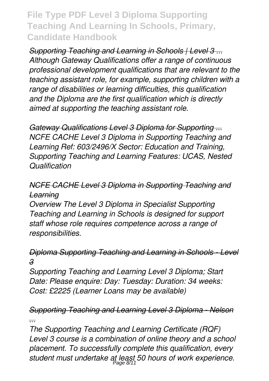*Supporting Teaching and Learning in Schools | Level 3 ... Although Gateway Qualifications offer a range of continuous professional development qualifications that are relevant to the teaching assistant role, for example, supporting children with a range of disabilities or learning difficulties, this qualification and the Diploma are the first qualification which is directly aimed at supporting the teaching assistant role.*

*Gateway Qualifications Level 3 Diploma for Supporting ... NCFE CACHE Level 3 Diploma in Supporting Teaching and Learning Ref: 603/2496/X Sector: Education and Training, Supporting Teaching and Learning Features: UCAS, Nested Qualification*

### *NCFE CACHE Level 3 Diploma in Supporting Teaching and Learning*

*Overview The Level 3 Diploma in Specialist Supporting Teaching and Learning in Schools is designed for support staff whose role requires competence across a range of responsibilities.*

### *Diploma Supporting Teaching and Learning in Schools - Level 3*

*Supporting Teaching and Learning Level 3 Diploma; Start Date: Please enquire: Day: Tuesday: Duration: 34 weeks: Cost: £2225 (Learner Loans may be available)*

### *Supporting Teaching and Learning Level 3 Diploma - Nelson ...*

*The Supporting Teaching and Learning Certificate (RQF) Level 3 course is a combination of online theory and a school placement. To successfully complete this qualification, every student must undertake at least 50 hours of work experience.* Page 8/11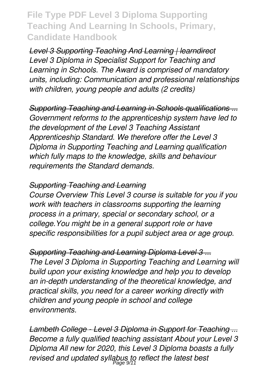*Level 3 Supporting Teaching And Learning | learndirect Level 3 Diploma in Specialist Support for Teaching and Learning in Schools. The Award is comprised of mandatory units, including: Communication and professional relationships with children, young people and adults (2 credits)*

*Supporting Teaching and Learning in Schools qualifications ... Government reforms to the apprenticeship system have led to the development of the Level 3 Teaching Assistant Apprenticeship Standard. We therefore offer the Level 3 Diploma in Supporting Teaching and Learning qualification which fully maps to the knowledge, skills and behaviour requirements the Standard demands.*

#### *Supporting Teaching and Learning*

*Course Overview This Level 3 course is suitable for you if you work with teachers in classrooms supporting the learning process in a primary, special or secondary school, or a college.You might be in a general support role or have specific responsibilities for a pupil subject area or age group.*

*Supporting Teaching and Learning Diploma Level 3 ... The Level 3 Diploma in Supporting Teaching and Learning will build upon your existing knowledge and help you to develop an in-depth understanding of the theoretical knowledge, and practical skills, you need for a career working directly with children and young people in school and college environments.*

*Lambeth College - Level 3 Diploma in Support for Teaching ... Become a fully qualified teaching assistant About your Level 3 Diploma All new for 2020, this Level 3 Diploma boasts a fully revised and updated syllabus to reflect the latest best* Page 9/11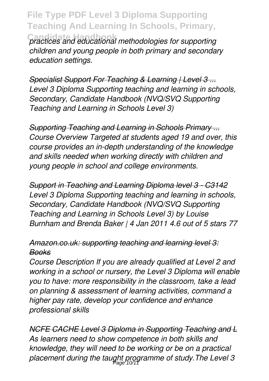**Candidate Handbook** *practices and educational methodologies for supporting children and young people in both primary and secondary education settings.*

*Specialist Support For Teaching & Learning | Level 3 ... Level 3 Diploma Supporting teaching and learning in schools, Secondary, Candidate Handbook (NVQ/SVQ Supporting Teaching and Learning in Schools Level 3)*

*Supporting Teaching and Learning in Schools Primary ... Course Overview Targeted at students aged 19 and over, this course provides an in-depth understanding of the knowledge and skills needed when working directly with children and young people in school and college environments.*

*Support in Teaching and Learning Diploma level 3 - C3142 Level 3 Diploma Supporting teaching and learning in schools, Secondary, Candidate Handbook (NVQ/SVQ Supporting Teaching and Learning in Schools Level 3) by Louise Burnham and Brenda Baker | 4 Jan 2011 4.6 out of 5 stars 77*

### *Amazon.co.uk: supporting teaching and learning level 3: Books*

*Course Description If you are already qualified at Level 2 and working in a school or nursery, the Level 3 Diploma will enable you to have: more responsibility in the classroom, take a lead on planning & assessment of learning activities, command a higher pay rate, develop your confidence and enhance professional skills*

*NCFE CACHE Level 3 Diploma in Supporting Teaching and L As learners need to show competence in both skills and knowledge, they will need to be working or be on a practical placement during the taught programme of study.The Level 3* Page 10/11